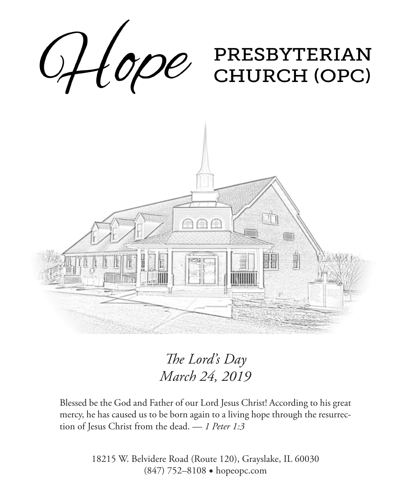

*The Lord's Day March 24, 2019*

Blessed be the God and Father of our Lord Jesus Christ! According to his great mercy, he has caused us to be born again to a living hope through the resurrection of Jesus Christ from the dead. — *1 Peter 1:3*

> 18215 W. Belvidere Road (Route 120), Grayslake, IL 60030 (847) 752–8108 ◆ hopeopc.com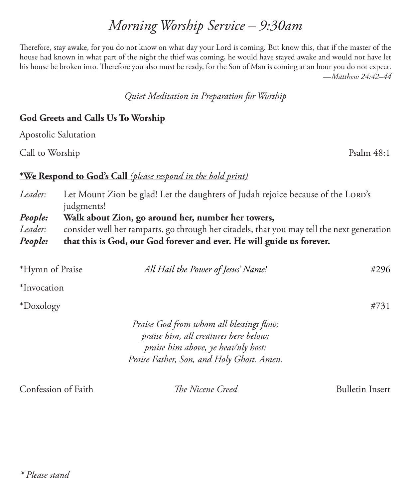# *Morning Worship Service – 9:30am*

Therefore, stay awake, for you do not know on what day your Lord is coming. But know this, that if the master of the house had known in what part of the night the thief was coming, he would have stayed awake and would not have let his house be broken into. Therefore you also must be ready, for the Son of Man is coming at an hour you do not expect. —*Matthew 24:42–44*

#### *Quiet Meditation in Preparation for Worship*

#### **God Greets and Calls Us To Worship**

Apostolic Salutation

Call to Worship Psalm 48:1

#### **\*We Respond to God's Call** *(please respond in the bold print)*

*Leader:* Let Mount Zion be glad! Let the daughters of Judah rejoice because of the LORD's judgments! *People:* **Walk about Zion, go around her, number her towers,**  *Leader:* consider well her ramparts, go through her citadels, that you may tell the next generation *People:* **that this is God, our God forever and ever. He will guide us forever.**

| *Hymn of Praise | All Hail the Power of Jesus' Name!                                                                                                                                    | #296 |
|-----------------|-----------------------------------------------------------------------------------------------------------------------------------------------------------------------|------|
| *Invocation     |                                                                                                                                                                       |      |
| *Doxology       |                                                                                                                                                                       | #731 |
|                 | Praise God from whom all blessings flow;<br>praise him, all creatures here below;<br>praise him above, ye heav'nly host:<br>Praise Father, Son, and Holy Ghost. Amen. |      |

Confession of Faith *The Nicene Creed* Bulletin Insert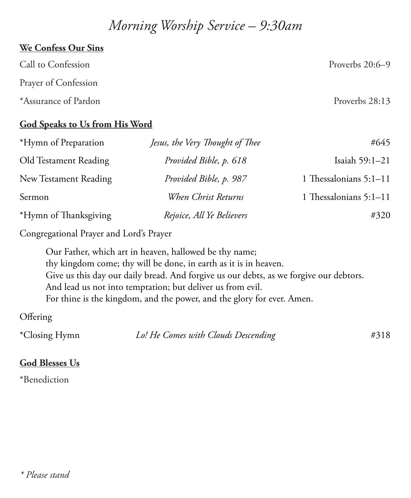# *Morning Worship Service – 9:30am*

## **We Confess Our Sins**

| Call to Confession   | Proverbs $20:6-9$ |
|----------------------|-------------------|
| Prayer of Confession |                   |
| *Assurance of Pardon | Proverbs 28:13    |

### **God Speaks to Us from His Word**

| *Hymn of Preparation  | Jesus, the Very Thought of Thee | #645                   |
|-----------------------|---------------------------------|------------------------|
| Old Testament Reading | Provided Bible, p. 618          | Isaiah 59:1-21         |
| New Testament Reading | Provided Bible, p. 987          | 1 Thessalonians 5:1-11 |
| Sermon                | When Christ Returns             | 1 Thessalonians 5:1-11 |
| *Hymn of Thanksgiving | Rejoice, All Ye Believers       | #320                   |

Congregational Prayer and Lord's Prayer

Our Father, which art in heaven, hallowed be thy name; thy kingdom come; thy will be done, in earth as it is in heaven. Give us this day our daily bread. And forgive us our debts, as we forgive our debtors. And lead us not into temptation; but deliver us from evil. For thine is the kingdom, and the power, and the glory for ever. Amen.

## **Offering**

| *Closing Hymn | Lo! He Comes with Clouds Descending | #318 |
|---------------|-------------------------------------|------|
|---------------|-------------------------------------|------|

## **God Blesses Us**

\*Benediction